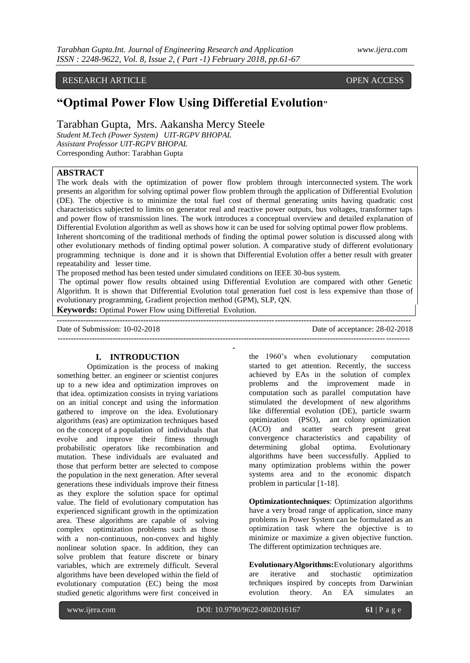## RESEARCH ARTICLE OPEN ACCESS

# **"Optimal Power Flow Using Differetial Evolution"**

Tarabhan Gupta, Mrs. Aakansha Mercy Steele

*Student M.Tech (Power System) UIT-RGPV BHOPAL Assistant Professor UIT-RGPV BHOPAL* Corresponding Author: Tarabhan Gupta

# **ABSTRACT**

The work deals with the optimization of power flow problem through interconnected system. The work presents an algorithm for solving optimal power flow problem through the application of Differential Evolution (DE). The objective is to minimize the total fuel cost of thermal generating units having quadratic cost characteristics subjected to limits on generator real and reactive power outputs, bus voltages, transformer taps and power flow of transmission lines. The work introduces a conceptual overview and detailed explanation of Differential Evolution algorithm as well as shows how it can be used for solving optimal power flow problems. Inherent shortcoming of the traditional methods of finding the optimal power solution is discussed along with other evolutionary methods of finding optimal power solution. A comparative study of different evolutionary programming technique is done and it is shown that Differential Evolution offer a better result with greater repeatability and lesser time.

The proposed method has been tested under simulated conditions on IEEE 30-bus system.

The optimal power flow results obtained using Differential Evolution are compared with other Genetic Algorithm. It is shown that Differential Evolution total generation fuel cost is less expensive than those of evolutionary programming, Gradient projection method (GPM), SLP, QN.

**Keywords:** Optimal Power Flow using Differetial Evolution.

**---------------------------------------------------------------------------------------------------------------------------------------** Date of Submission: 10-02-2018 Date of acceptance: 28-02-2018 **--------------------------------------------------------------------------------------------------------------------------------------**

**-**

## **I. INTRODUCTION**

Optimization is the process of making something better. an engineer or scientist conjures up to a new idea and optimization improves on that idea. optimization consists in trying variations on an initial concept and using the information gathered to improve on the idea. Evolutionary algorithms (eas) are optimization techniques based on the concept of a population of individuals that evolve and improve their fitness through probabilistic operators like recombination and mutation. These individuals are evaluated and those that perform better are selected to compose the population in the next generation. After several generations these individuals improve their fitness as they explore the solution space for optimal value. The field of evolutionary computation has experienced significant growth in the optimization area. These algorithms are capable of solving complex optimization problems such as those with a non-continuous, non-convex and highly nonlinear solution space. In addition, they can solve problem that feature discrete or binary variables, which are extremely difficult. Several algorithms have been developed within the field of evolutionary computation (EC) being the most studied genetic algorithms were first conceived in

the 1960's when evolutionary computation started to get attention. Recently, the success achieved by EAs in the solution of complex problems and the improvement made in computation such as parallel computation have stimulated the development of new algorithms like differential evolution (DE), particle swarm optimization (PSO), ant colony optimization (ACO) and scatter search present great convergence characteristics and capability of determining global optima. Evolutionary algorithms have been successfully. Applied to many optimization problems within the power systems area and to the economic dispatch problem in particular [1-18].

**Optimizationtechniques**: Optimization algorithms have a very broad range of application, since many problems in Power System can be formulated as an optimization task where the objective is to minimize or maximize a given objective function. The different optimization techniques are.

**EvolutionaryAlgorithms:**Evolutionary algorithms are iterative and stochastic optimization techniques inspired by concepts from Darwinian evolution theory. An EA simulates an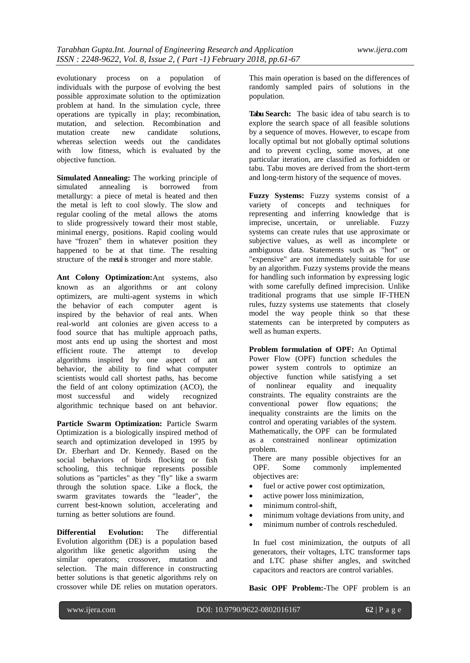evolutionary process on a population of individuals with the purpose of evolving the best possible approximate solution to the optimization problem at hand. In the simulation cycle, three operations are typically in play; recombination, mutation, and selection. Recombination and mutation create new candidate solutions. mutation create new candidate solutions, whereas selection weeds out the candidates with low fitness, which is evaluated by the objective function.

**Simulated Annealing:** The working principle of simulated annealing is borrowed from metallurgy: a piece of metal is heated and then the metal is left to cool slowly. The slow and regular cooling of the metal allows the atoms to slide progressively toward their most stable, minimal energy, positions. Rapid cooling would have "frozen" them in whatever position they happened to be at that time. The resulting structure of the metal is stronger and more stable.

**Ant Colony Optimization:**Ant systems, also known as an algorithms or ant colony optimizers, are multi-agent systems in which the behavior of each computer agent is inspired by the behavior of real ants. When real-world ant colonies are given access to a food source that has multiple approach paths, most ants end up using the shortest and most efficient route. The attempt to develop algorithms inspired by one aspect of ant behavior, the ability to find what computer scientists would call shortest paths, has become the field of ant colony optimization (ACO), the most successful and widely recognized algorithmic technique based on ant behavior.

**Particle Swarm Optimization:** Particle Swarm Optimization is a biologically inspired method of search and optimization developed in 1995 by Dr. Eberhart and Dr. Kennedy. Based on the social behaviors of birds flocking or fish schooling, this technique represents possible solutions as "particles" as they "fly" like a swarm through the solution space. Like a flock, the swarm gravitates towards the "leader", the current best-known solution, accelerating and turning as better solutions are found.

**Differential Evolution:** The differential Evolution algorithm (DE) is a population based algorithm like genetic algorithm using the similar operators; crossover, mutation and selection. The main difference in constructing better solutions is that genetic algorithms rely on crossover while DE relies on mutation operators. This main operation is based on the differences of randomly sampled pairs of solutions in the population.

**Tabu Search:** The basic idea of tabu search is to explore the search space of all feasible solutions by a sequence of moves. However, to escape from locally optimal but not globally optimal solutions and to prevent cycling, some moves, at one particular iteration, are classified as forbidden or tabu. Tabu moves are derived from the short-term and long-term history of the sequence of moves.

**Fuzzy Systems:** Fuzzy systems consist of a variety of concepts and techniques for representing and inferring knowledge that is imprecise, uncertain, or unreliable. Fuzzy systems can create rules that use approximate or subjective values, as well as incomplete or ambiguous data. Statements such as "hot" or "expensive" are not immediately suitable for use by an algorithm. Fuzzy systems provide the means for handling such information by expressing logic with some carefully defined imprecision. Unlike traditional programs that use simple IF-THEN rules, fuzzy systems use statements that closely model the way people think so that these statements can be interpreted by computers as well as human experts.

**Problem formulation of OPF:** An Optimal Power Flow (OPF) function schedules the power system controls to optimize an objective function while satisfying a set of nonlinear equality and inequality constraints. The equality constraints are the conventional power flow equations; the inequality constraints are the limits on the control and operating variables of the system. Mathematically, the OPF can be formulated as a constrained nonlinear optimization problem.

There are many possible objectives for an OPF. Some commonly implemented OPF. Some commonly implemented objectives are:

- fuel or active power cost optimization,
- active power loss minimization,
- minimum control-shift.
- minimum voltage deviations from unity, and
- minimum number of controls rescheduled.

In fuel cost minimization, the outputs of all generators, their voltages, LTC transformer taps and LTC phase shifter angles, and switched capacitors and reactors are control variables.

**Basic OPF Problem:-**The OPF problem is an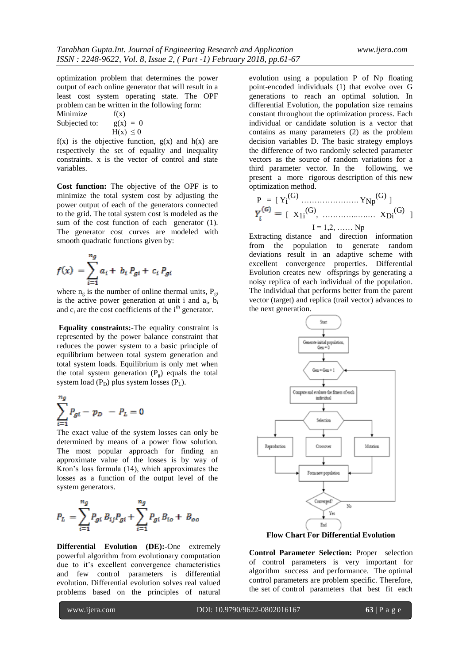optimization problem that determines the power output of each online generator that will result in a least cost system operating state. The OPF problem can be written in the following form:

Minimize  $f(x)$ Subjected to:  $g(x) = 0$  $H(x) \leq 0$ 

 $f(x)$  is the objective function,  $g(x)$  and  $h(x)$  are respectively the set of equality and inequality constraints. x is the vector of control and state variables.

**Cost function:** The objective of the OPF is to minimize the total system cost by adjusting the power output of each of the generators connected to the grid. The total system cost is modeled as the sum of the cost function of each generator (1). The generator cost curves are modeled with smooth quadratic functions given by:

$$
f(x) = \sum_{i=1}^{n_g} a_i + b_i P_{gi} + c_i P_{gi}
$$

where  $n_g$  is the number of online thermal units,  $P_{gi}$ is the active power generation at unit i and  $a_i$ ,  $b_i$ and  $c_i$  are the cost coefficients of the  $i<sup>th</sup>$  generator.

**Equality constraints:-**The equality constraint is represented by the power balance constraint that reduces the power system to a basic principle of equilibrium between total system generation and total system loads. Equilibrium is only met when the total system generation  $(P<sub>g</sub>)$  equals the total system load  $(P_D)$  plus system losses  $(P_L)$ .

$$
\sum_{i=1}^{n_g} P_{gi} - p_D - P_L = 0
$$

The exact value of the system losses can only be determined by means of a power flow solution. The most popular approach for finding an approximate value of the losses is by way of Kron's loss formula (14), which approximates the losses as a function of the output level of the system generators.

$$
P_L = \sum_{i=1}^{n_g} P_{gi} B_{ij} P_{gi} + \sum_{i=1}^{n_g} P_{gi} B_{io} + B_{oo}
$$

**Differential Evolution (DE):-**One extremely powerful algorithm from evolutionary computation due to it's excellent convergence characteristics and few control parameters is differential evolution. Differential evolution solves real valued problems based on the principles of natural

evolution using a population P of Np floating point-encoded individuals (1) that evolve over G generations to reach an optimal solution. In differential Evolution, the population size remains constant throughout the optimization process. Each individual or candidate solution is a vector that contains as many parameters (2) as the problem decision variables D. The basic strategy employs the difference of two randomly selected parameter vectors as the source of random variations for a third parameter vector. In the following, we present a more rigorous description of this new optimization method.

 P = [ Yi (G) …………………. YNp (G) ] [ X1i (G) , …………..….… XDi (G) ] I = 1,2, …… Np

Extracting distance and direction information from the population to generate random deviations result in an adaptive scheme with excellent convergence properties. Differential Evolution creates new offsprings by generating a noisy replica of each individual of the population. The individual that performs better from the parent vector (target) and replica (trail vector) advances to the next generation.





**Control Parameter Selection:** Proper selection of control parameters is very important for algorithm success and performance. The optimal control parameters are problem specific. Therefore, the set of control parameters that best fit each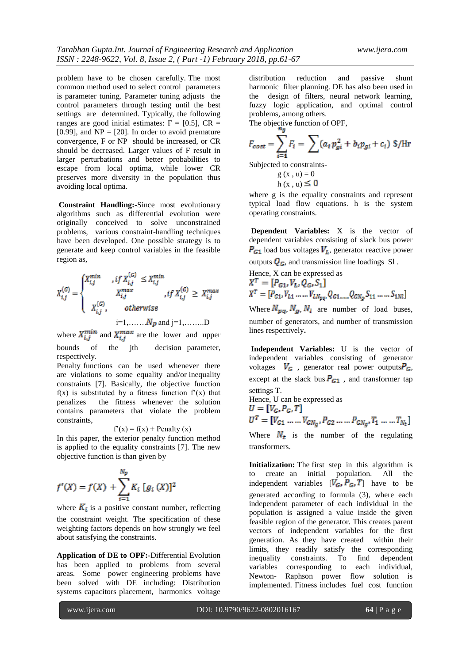problem have to be chosen carefully. The most common method used to select control parameters is parameter tuning. Parameter tuning adjusts the control parameters through testing until the best settings are determined. Typically, the following ranges are good initial estimates:  $F = [0.5]$ ,  $CR =$ [0.99], and  $NP = [20]$ . In order to avoid premature convergence, F or NP should be increased, or CR should be decreased. Larger values of F result in larger perturbations and better probabilities to escape from local optima, while lower CR preserves more diversity in the population thus avoiding local optima.

**Constraint Handling:-**Since most evolutionary algorithms such as differential evolution were originally conceived to solve unconstrained problems, various constraint-handling techniques have been developed. One possible strategy is to generate and keep control variables in the feasible region as,

$$
X_{i,j}^{(G)} = \begin{cases} X_{i,j}^{min} & , if \ X_{i,j}^{(G)} \le X_{i,j}^{min} \\ & X_{i,j}^{max} \\ & , if \ X_{i,j}^{(G)} \ge X_{i,j}^{max} \\ & \\ X_{i,j}^{(G)}, & otherwise \\ & i=1, \dots, N_p \text{ and } j=1, \dots, D \end{cases}
$$

where  $X_{i,j}^{min}$  and  $X_{i,j}^{max}$  are the lower and upper bounds of the jth decision parameter, respectively.

Penalty functions can be used whenever there are violations to some equality and/or inequality constraints [7]. Basically, the objective function  $f(x)$  is substituted by a fitness function  $f'(x)$  that penalizes the fitness whenever the solution contains parameters that violate the problem constraints,

 $f'(x) = f(x) +$  Penalty (x)

In this paper, the exterior penalty function method is applied to the equality constraints [7]. The new objective function is than given by

$$
f'(X) = f(X) + \sum_{i=1}^{N_p} K_i [g_i(X)]^2
$$

where  $K_i$  is a positive constant number, reflecting the constraint weight. The specification of these weighting factors depends on how strongly we feel about satisfying the constraints.

**Application of DE to OPF:-**Differential Evolution has been applied to problems from several areas. Some power engineering problems have been solved with DE including: Distribution systems capacitors placement, harmonics voltage distribution reduction and passive shunt harmonic filter planning. DE has also been used in the design of filters, neural network learning, fuzzy logic application, and optimal control problems, among others.

The objective function of OPF,

$$
F_{cost} = \sum_{i=1}^{5} F_i = \sum (a_i p_{gi}^2 + b_i p_{gi} + c_i) \text{ } \$/\text{Hr}
$$

Subjected to constraints-

 $g(x, u) = 0$ h  $(x, u) \leq 0$ 

where g is the equality constraints and represent typical load flow equations. h is the system operating constraints.

**Dependent Variables:** X is the vector of dependent variables consisting of slack bus power  $P_{G1}$  load bus voltages  $V_L$ , generator reactive power outputs  $Q_G$ , and transmission line loadings Sl.

Hence, X can be expressed as<br> $X^T = [P_{G1}, V_L, Q_G, S_1]$  $X^T = [P_{G1}, V_{L1} \dots V_{LNpq}, Q_{G1 \dots Q_{GNq}}, S_{11} \dots S_{1Nl}]$ 

Where  $N_{pq}$ ,  $N_q$ ,  $N_l$  are number of load buses, number of generators, and number of transmission lines respectively**.**

**Independent Variables:** U is the vector of independent variables consisting of generator voltages  $V_G$ , generator real power outputs $P_G$ , except at the slack bus  $P_{G_1}$ , and transformer tap settings T.

Hence, U can be expressed as  $U = [V_G, P_G, T]$  $U^T = [V_{G1} \dots V_{GN_a}, P_{G2} \dots P_{GN_a}, T_1 \dots T_{N_t}]$ 

Where  $N_t$  is the number of the regulating transformers.

**Initialization:** The first step in this algorithm is to create an initial population. All the independent variables  $[\vec{V}_G, \vec{P}_G, \vec{T}]$  have to be generated according to formula (3), where each independent parameter of each individual in the population is assigned a value inside the given feasible region of the generator. This creates parent vectors of independent variables for the first generation. As they have created within their limits, they readily satisfy the corresponding inequality constraints. To find dependent variables corresponding to each individual, Newton- Raphson power flow solution is implemented. Fitness includes fuel cost function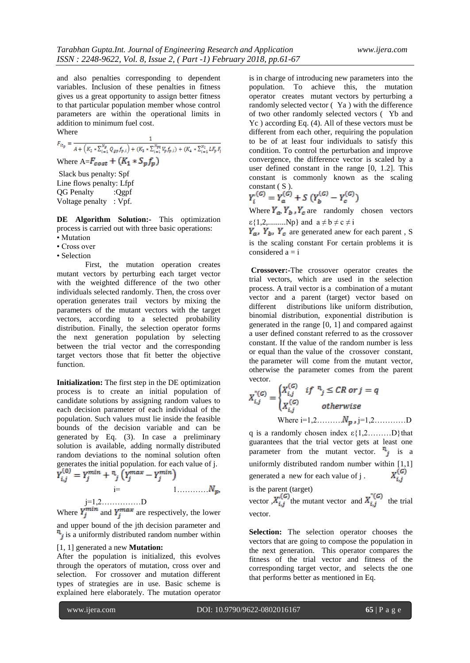and also penalties corresponding to dependent variables. Inclusion of these penalties in fitness gives us a great opportunity to assign better fitness to that particular population member whose control parameters are within the operational limits in addition to minimum fuel cost. Where

$$
F_{it_p} = \frac{1}{A + (K_2 * \sum_{i=1}^{N_g} Q_{gp} f_{p,i}) + (K_3 * \sum_{i=1}^{N_{pq}} V_p f_{p,i}) + (K_4 * \sum_{i=1}^{N_l} L F_p F_i)}
$$
  
Where A= $F_{cost} + (K_1 * S_p f_p)$ 

Slack bus penalty: Spf Line flows penalty: Lfpf QG Penalty :Qgpf Voltage penalty : Vpf.

**DE Algorithm Solution:-** This optimization process is carried out with three basic operations:

- Mutation
- Cross over
- Selection

First, the mutation operation creates mutant vectors by perturbing each target vector with the weighted difference of the two other individuals selected randomly. Then, the cross over operation generates trail vectors by mixing the parameters of the mutant vectors with the target vectors, according to a selected probability distribution. Finally, the selection operator forms the next generation population by selecting between the trial vector and the corresponding target vectors those that fit better the objective function.

**Initialization:** The first step in the DE optimization process is to create an initial population of candidate solutions by assigning random values to each decision parameter of each individual of the population. Such values must lie inside the feasible bounds of the decision variable and can be generated by Eq. (3). In case a preliminary solution is available, adding normally distributed random deviations to the nominal solution often generates the initial population. for each value of j.

$$
Y_{i,j}^{(0)} = Y_j^{min} + \binom{n}{j} \left( Y_j^{max} - Y_j^{min} \right)
$$
  
 
$$
= \qquad 1 \dots \dots \dots N_p,
$$

j=1,2……………D Where  $Y_i^{min}$  and  $Y_i^{max}$  are respectively, the lower and upper bound of the jth decision parameter and  $\mathbf{h}_i$  is a uniformly distributed random number within

#### [1, 1] generated a new **Mutation:**

After the population is initialized, this evolves through the operators of mutation, cross over and selection. For crossover and mutation different types of strategies are in use. Basic scheme is explained here elaborately. The mutation operator is in charge of introducing new parameters into the population. To achieve this, the mutation operator creates mutant vectors by perturbing a randomly selected vector ( Ya ) with the difference of two other randomly selected vectors ( Yb and Yc ) according Eq. (4). All of these vectors must be different from each other, requiring the population to be of at least four individuals to satisfy this condition. To control the perturbation and improve convergence, the difference vector is scaled by a user defined constant in the range [0, 1.2]. This constant is commonly known as the scaling constant  $(S)$ .

$$
Y_i^{(G)} = Y_a^{(G)} + S (Y_b^{(G)} - Y_c^{(G)})
$$

Where  $Y_a$ ,  $Y_b$ ,  $Y_c$  are randomly chosen vectors  $\varepsilon$ {1,2,..........Np} and  $a \neq b \neq c \neq i$ 

 $Y_a$ ,  $Y_b$ ,  $Y_c$  are generated anew for each parent, S is the scaling constant For certain problems it is considered  $a = i$ 

**Crossover:-**The crossover operator creates the trial vectors, which are used in the selection process. A trail vector is a combination of a mutant vector and a parent (target) vector based on different distributions like uniform distribution, binomial distribution, exponential distribution is generated in the range [0, 1] and compared against a user defined constant referred to as the crossover constant. If the value of the random number is less or equal than the value of the crossover constant, the parameter will come from the mutant vector, otherwise the parameter comes from the parent vector.  $\mathbb{R}^2$ 

$$
X_{i,j}^{\circ(G)} = \begin{cases} X_{i,j}^{(G)} & if \text{ } \text{ }^{n_j} \leq CR \text{ or } j = q \\ X_{i,j}^{(G)} & otherwise \end{cases}
$$
  
Where i=1,2,......,  $N_{\mathbf{p},j} = 1,2,......$  D

q is a randomly chosen index  $\varepsilon$ {1,2………D}that guarantees that the trial vector gets at least one parameter from the mutant vector.  $\mathbf{r}_i$  is a uniformly distributed random number within [1,1]<br>generated a new for each value of j.  $X_{i,j}^{(G)}$ generated a new for each value of j .

is the parent (target)

vector  $X_{i,j}^{\prime\prime}$  the mutant vector and  $X_{i,j}^{\prime\prime}$  the trial vector.

**Selection:** The selection operator chooses the vectors that are going to compose the population in the next generation. This operator compares the fitness of the trial vector and fitness of the corresponding target vector, and selects the one that performs better as mentioned in Eq.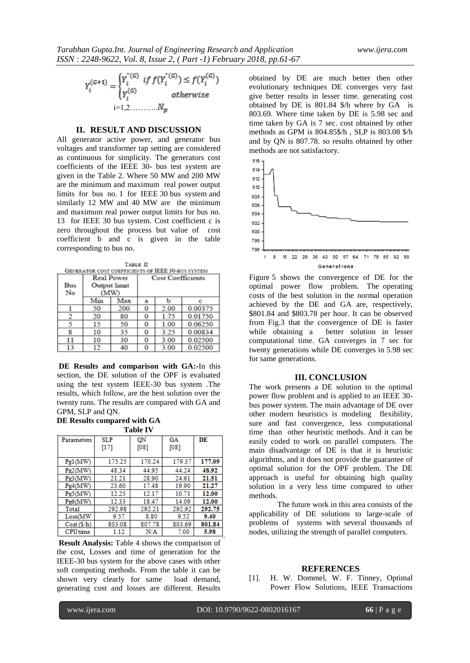$$
Y_i^{(G+1)} = \begin{cases} Y_i^{*(G)} & \text{if } f(Y_i^{*(G)}) \le f(Y_i^{(G)})\\ Y_i^{(G)} & \text{otherwise} \end{cases}
$$
\n
$$
i = 1, 2, \dots, N_p
$$

### **II. RESULT AND DISCUSSION**

All generator active power, and generator bus voltages and transformer tap setting are considered as continuous for simplicity. The generators cost coefficients of the IEEE 30- bus test system are given in the Table 2. Where 50 MW and 200 MW are the minimum and maximum real power output limits for bus no. 1 for IEEE 30 bus system and similarly 12 MW and 40 MW are the minimum and maximum real power output limits for bus no. 13 for IEEE 30 bus system. Cost coefficient c is zero throughout the process but value of cost coefficient b and c is given in the table corresponding to bus no.

TABLE II

| GENERATOR COST COEFFICIENTS OF IEEE 30-BUS SYSTEM |              |     |                          |      |         |  |  |  |
|---------------------------------------------------|--------------|-----|--------------------------|------|---------|--|--|--|
|                                                   | Real Power   |     | <b>Cost Coefficients</b> |      |         |  |  |  |
| Bus                                               | Output limit |     |                          |      |         |  |  |  |
| No                                                | (MW)         |     |                          |      |         |  |  |  |
|                                                   | Min          | Max | a                        | ь    |         |  |  |  |
|                                                   | 50           | 200 | 0                        | 2.00 | 0.00375 |  |  |  |
| 2                                                 | 20           | 80  | 0                        | 1.75 | 0.01750 |  |  |  |
| 5                                                 | 15           | 50  | 0                        | 1.00 | 0.06250 |  |  |  |
| 8                                                 | 10           | 35  | 0                        | 3.25 | 0.00834 |  |  |  |
| 11                                                | 10           | 30  | 0                        | 3.00 | 0.02500 |  |  |  |
| 13                                                | 12           | 40  | Ω                        | 3.00 | 0.02500 |  |  |  |

**DE Results and comparison with GA:-**In this section, the DE solution of the OPF is evaluated using the test system IEEE-30 bus system .The results, which follow, are the best solution over the twenty runs. The results are compared with GA and GPM, SLP and QN.

#### **DE Results compared with GA Table IV**

| Parameters      | <b>SLP</b><br>[17] | QN<br>[08] | GA<br>[08] | DE     |
|-----------------|--------------------|------------|------------|--------|
| Pg1(MW)         | 175.25             | 170.24     | 179.37     | 177.09 |
| Pg2(MW)         | 48.34              | 44.95      | 44.24      | 48.92  |
| Pg3(MW)         | 21.21              | 28.90      | 24.61      | 21.51  |
| Pg4(MW)         | 23.60              | 17.48      | 19.90      | 21.27  |
| Pg5(MW)         | 12.25              | 12.17      | 10.71      | 12.00  |
| Pg6(MW)         | 12.33              | 18.47      | 14.09      | 12.00  |
| Total           | 292.98             | 292.21     | 292.92     | 292.75 |
| Loss(MW         | 9.57               | 8.80       | 9.52       | 9.40   |
| Cost(S/h)       | 803.08             | 807.78     | 803.69     | 801.84 |
| <b>CPU</b> time | 1.12               | N/A        | 7.00       | 5.98   |

**Result Analysis:** Table 4 shows the comparison of the cost, Losses and time of generation for the IEEE-30 bus system for the above cases with other soft computing methods. From the table it can be shown very clearly for same load demand, generating cost and losses are different. Results

obtained by DE are much better then other evolutionary techniques DE converges very fast give better results in lesser time. generating cost obtained by DE is 801.84 \$/h where by GA is 803.69. Where time taken by DE is 5.98 sec and time taken by GA is 7 sec. cost obtained by other methods as GPM is 804.85\$/h , SLP is 803.08 \$/h and by QN is 807.78. so results obtained by other methods are not satisfactory.



Figure 5 shows the convergence of DE for the optimal power flow problem. The operating costs of the best solution in the normal operation achieved by the DE and GA are, respectively, \$801.84 and \$803.78 per hour. It can be observed from Fig.3 that the convergence of DE is faster while obtaining a better solution in lesser computational time. GA converges in 7 sec for twenty generations while DE converges in 5.98 sec for same generations.

#### **III. CONCLUSION**

The work presents a DE solution to the optimal power flow problem and is applied to an IEEE 30 bus power system. The main advantage of DE over other modern heuristics is modeling flexibility, sure and fast convergence, less computational time than other heuristic methods. And it can be easily coded to work on parallel computers. The main disadvantage of DE is that it is heuristic algorithms, and it does not provide the guarantee of optimal solution for the OPF problem. The DE approach is useful for obtaining high quality solution in a very less time compared to other methods.

The future work in this area consists of the applicability of DE solutions to large-scale of problems of systems with several thousands of nodes, utilizing the strength of parallel computers.

#### **REFERENCES**

[1]. H. W. Dommel, W. F. Tinney, Optimal Power Flow Solutions, IEEE Transactions